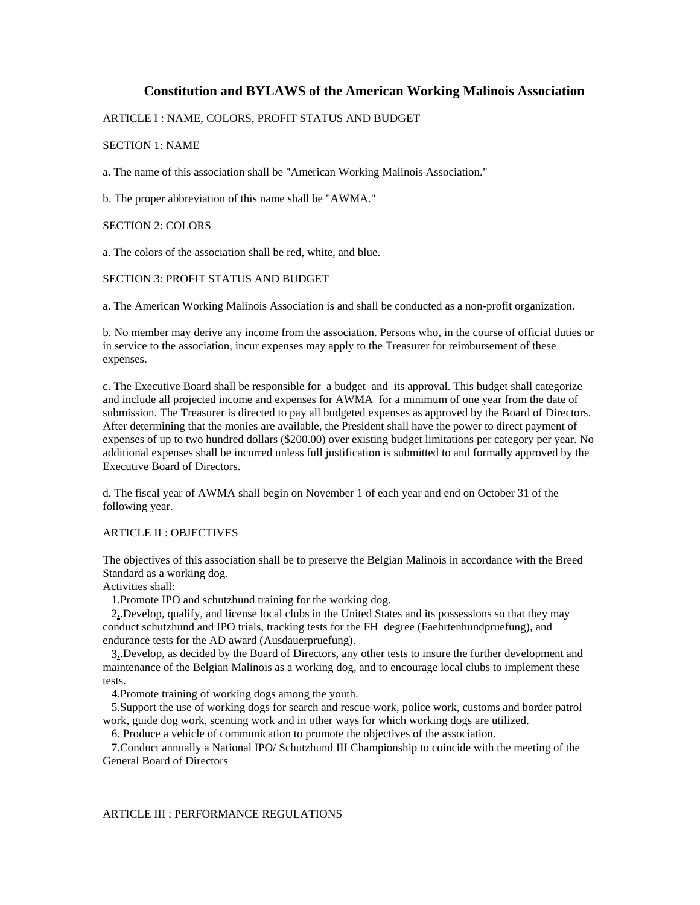# **Constitution and BYLAWS of the American Working Malinois Association**

## ARTICLE I : NAME, COLORS, PROFIT STATUS AND BUDGET

## SECTION 1: NAME

a. The name of this association shall be "American Working Malinois Association."

b. The proper abbreviation of this name shall be "AWMA."

## SECTION 2: COLORS

a. The colors of the association shall be red, white, and blue.

## SECTION 3: PROFIT STATUS AND BUDGET

a. The American Working Malinois Association is and shall be conducted as a non-profit organization.

b. No member may derive any income from the association. Persons who, in the course of official duties or in service to the association, incur expenses may apply to the Treasurer for reimbursement of these expenses.

c. The Executive Board shall be responsible for a budget and its approval. This budget shall categorize and include all projected income and expenses for AWMA for a minimum of one year from the date of submission. The Treasurer is directed to pay all budgeted expenses as approved by the Board of Directors. After determining that the monies are available, the President shall have the power to direct payment of expenses of up to two hundred dollars (\$200.00) over existing budget limitations per category per year. No additional expenses shall be incurred unless full justification is submitted to and formally approved by the Executive Board of Directors.

d. The fiscal year of AWMA shall begin on November 1 of each year and end on October 31 of the following year.

### ARTICLE II : OBJECTIVES

The objectives of this association shall be to preserve the Belgian Malinois in accordance with the Breed Standard as a working dog.

Activities shall:

1.Promote IPO and schutzhund training for the working dog.

 2**.**.Develop, qualify, and license local clubs in the United States and its possessions so that they may conduct schutzhund and IPO trials, tracking tests for the FH degree (Faehrtenhundpruefung), and endurance tests for the AD award (Ausdauerpruefung).

 3**.**.Develop, as decided by the Board of Directors, any other tests to insure the further development and maintenance of the Belgian Malinois as a working dog, and to encourage local clubs to implement these tests.

4.Promote training of working dogs among the youth.

 5.Support the use of working dogs for search and rescue work, police work, customs and border patrol work, guide dog work, scenting work and in other ways for which working dogs are utilized.

6. Produce a vehicle of communication to promote the objectives of the association.

 7.Conduct annually a National IPO/ Schutzhund III Championship to coincide with the meeting of the General Board of Directors

#### ARTICLE III : PERFORMANCE REGULATIONS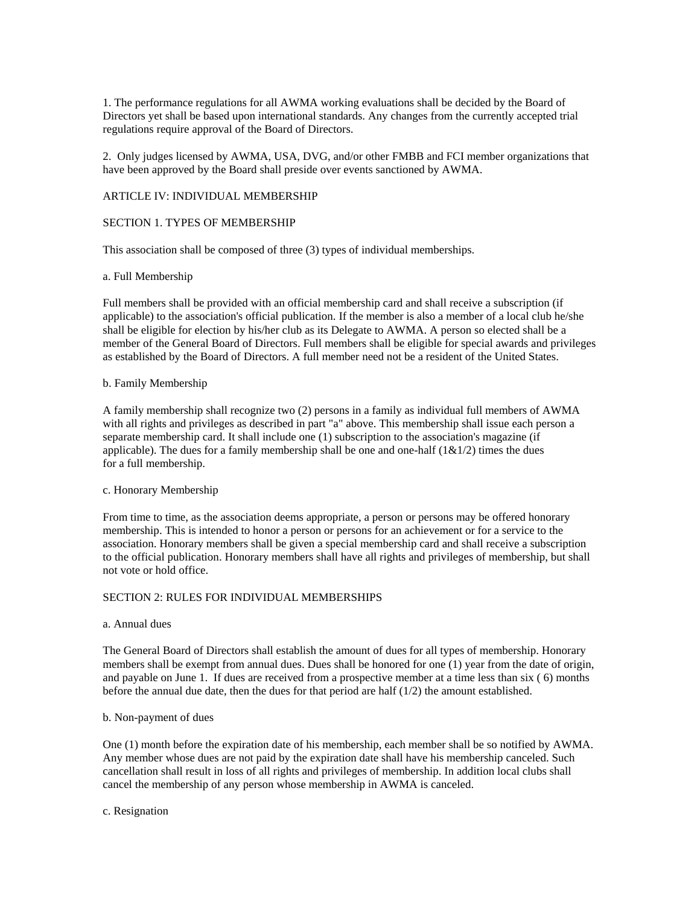1. The performance regulations for all AWMA working evaluations shall be decided by the Board of Directors yet shall be based upon international standards. Any changes from the currently accepted trial regulations require approval of the Board of Directors.

2. Only judges licensed by AWMA, USA, DVG, and/or other FMBB and FCI member organizations that have been approved by the Board shall preside over events sanctioned by AWMA.

### ARTICLE IV: INDIVIDUAL MEMBERSHIP

## SECTION 1. TYPES OF MEMBERSHIP

This association shall be composed of three (3) types of individual memberships.

### a. Full Membership

Full members shall be provided with an official membership card and shall receive a subscription (if applicable) to the association's official publication. If the member is also a member of a local club he/she shall be eligible for election by his/her club as its Delegate to AWMA. A person so elected shall be a member of the General Board of Directors. Full members shall be eligible for special awards and privileges as established by the Board of Directors. A full member need not be a resident of the United States.

### b. Family Membership

A family membership shall recognize two (2) persons in a family as individual full members of AWMA with all rights and privileges as described in part "a" above. This membership shall issue each person a separate membership card. It shall include one (1) subscription to the association's magazine (if applicable). The dues for a family membership shall be one and one-half  $(1\&1/2)$  times the dues for a full membership.

### c. Honorary Membership

From time to time, as the association deems appropriate, a person or persons may be offered honorary membership. This is intended to honor a person or persons for an achievement or for a service to the association. Honorary members shall be given a special membership card and shall receive a subscription to the official publication. Honorary members shall have all rights and privileges of membership, but shall not vote or hold office.

## SECTION 2: RULES FOR INDIVIDUAL MEMBERSHIPS

#### a. Annual dues

The General Board of Directors shall establish the amount of dues for all types of membership. Honorary members shall be exempt from annual dues. Dues shall be honored for one (1) year from the date of origin, and payable on June 1. If dues are received from a prospective member at a time less than six ( 6) months before the annual due date, then the dues for that period are half  $(1/2)$  the amount established.

### b. Non-payment of dues

One (1) month before the expiration date of his membership, each member shall be so notified by AWMA. Any member whose dues are not paid by the expiration date shall have his membership canceled. Such cancellation shall result in loss of all rights and privileges of membership. In addition local clubs shall cancel the membership of any person whose membership in AWMA is canceled.

c. Resignation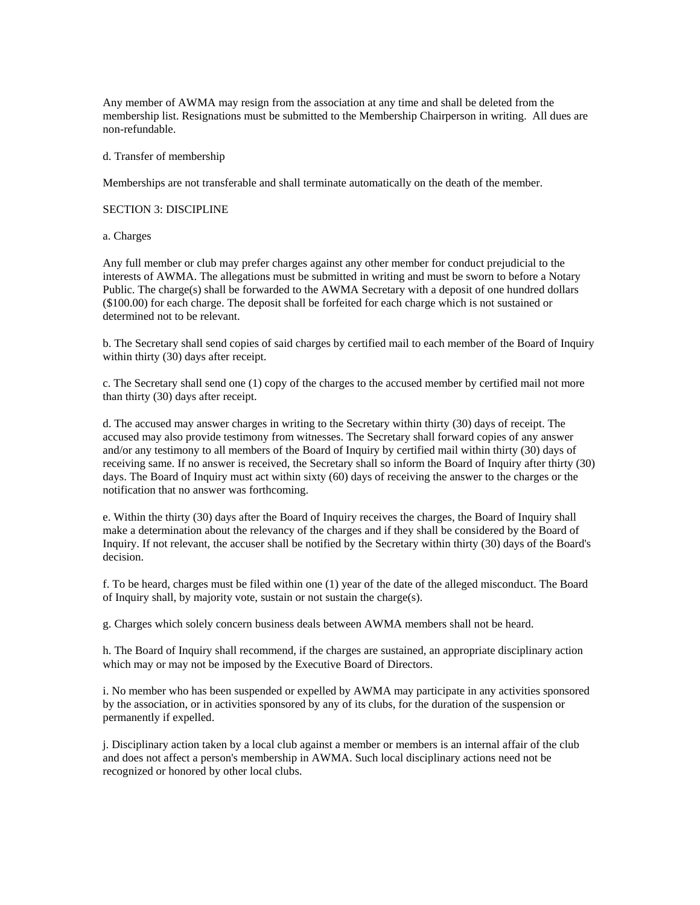Any member of AWMA may resign from the association at any time and shall be deleted from the membership list. Resignations must be submitted to the Membership Chairperson in writing. All dues are non-refundable.

d. Transfer of membership

Memberships are not transferable and shall terminate automatically on the death of the member.

SECTION 3: DISCIPLINE

a. Charges

Any full member or club may prefer charges against any other member for conduct prejudicial to the interests of AWMA. The allegations must be submitted in writing and must be sworn to before a Notary Public. The charge(s) shall be forwarded to the AWMA Secretary with a deposit of one hundred dollars (\$100.00) for each charge. The deposit shall be forfeited for each charge which is not sustained or determined not to be relevant.

b. The Secretary shall send copies of said charges by certified mail to each member of the Board of Inquiry within thirty (30) days after receipt.

c. The Secretary shall send one (1) copy of the charges to the accused member by certified mail not more than thirty (30) days after receipt.

d. The accused may answer charges in writing to the Secretary within thirty (30) days of receipt. The accused may also provide testimony from witnesses. The Secretary shall forward copies of any answer and/or any testimony to all members of the Board of Inquiry by certified mail within thirty (30) days of receiving same. If no answer is received, the Secretary shall so inform the Board of Inquiry after thirty (30) days. The Board of Inquiry must act within sixty (60) days of receiving the answer to the charges or the notification that no answer was forthcoming.

e. Within the thirty (30) days after the Board of Inquiry receives the charges, the Board of Inquiry shall make a determination about the relevancy of the charges and if they shall be considered by the Board of Inquiry. If not relevant, the accuser shall be notified by the Secretary within thirty (30) days of the Board's decision.

f. To be heard, charges must be filed within one (1) year of the date of the alleged misconduct. The Board of Inquiry shall, by majority vote, sustain or not sustain the charge(s).

g. Charges which solely concern business deals between AWMA members shall not be heard.

h. The Board of Inquiry shall recommend, if the charges are sustained, an appropriate disciplinary action which may or may not be imposed by the Executive Board of Directors.

i. No member who has been suspended or expelled by AWMA may participate in any activities sponsored by the association, or in activities sponsored by any of its clubs, for the duration of the suspension or permanently if expelled.

j. Disciplinary action taken by a local club against a member or members is an internal affair of the club and does not affect a person's membership in AWMA. Such local disciplinary actions need not be recognized or honored by other local clubs.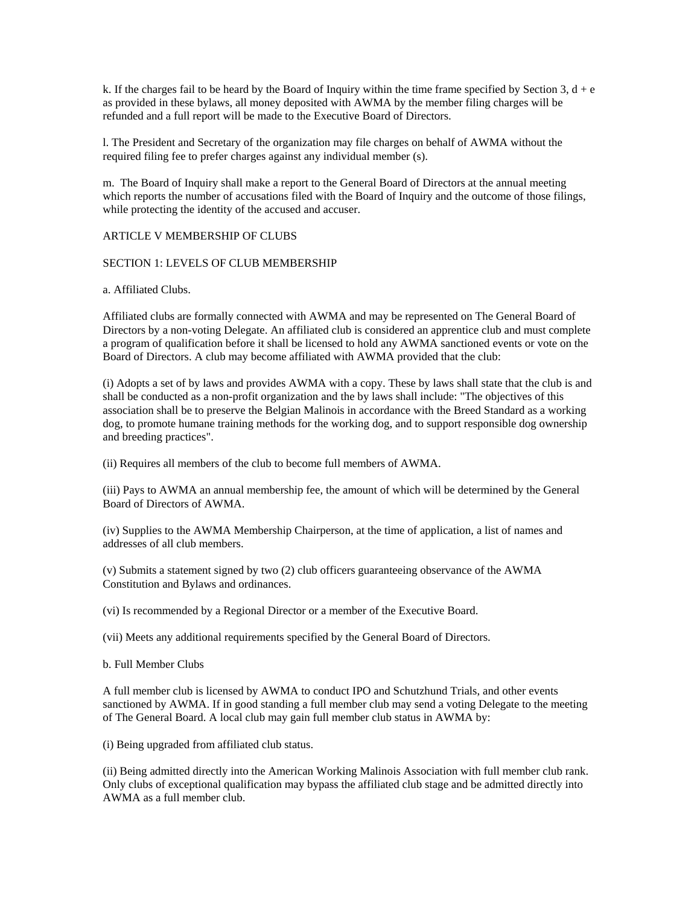k. If the charges fail to be heard by the Board of Inquiry within the time frame specified by Section 3,  $d + e$ as provided in these bylaws, all money deposited with AWMA by the member filing charges will be refunded and a full report will be made to the Executive Board of Directors.

l. The President and Secretary of the organization may file charges on behalf of AWMA without the required filing fee to prefer charges against any individual member (s).

m. The Board of Inquiry shall make a report to the General Board of Directors at the annual meeting which reports the number of accusations filed with the Board of Inquiry and the outcome of those filings, while protecting the identity of the accused and accuser.

### ARTICLE V MEMBERSHIP OF CLUBS

## SECTION 1: LEVELS OF CLUB MEMBERSHIP

a. Affiliated Clubs.

Affiliated clubs are formally connected with AWMA and may be represented on The General Board of Directors by a non-voting Delegate. An affiliated club is considered an apprentice club and must complete a program of qualification before it shall be licensed to hold any AWMA sanctioned events or vote on the Board of Directors. A club may become affiliated with AWMA provided that the club:

(i) Adopts a set of by laws and provides AWMA with a copy. These by laws shall state that the club is and shall be conducted as a non-profit organization and the by laws shall include: "The objectives of this association shall be to preserve the Belgian Malinois in accordance with the Breed Standard as a working dog, to promote humane training methods for the working dog, and to support responsible dog ownership and breeding practices".

(ii) Requires all members of the club to become full members of AWMA.

(iii) Pays to AWMA an annual membership fee, the amount of which will be determined by the General Board of Directors of AWMA.

(iv) Supplies to the AWMA Membership Chairperson, at the time of application, a list of names and addresses of all club members.

(v) Submits a statement signed by two (2) club officers guaranteeing observance of the AWMA Constitution and Bylaws and ordinances.

(vi) Is recommended by a Regional Director or a member of the Executive Board.

(vii) Meets any additional requirements specified by the General Board of Directors.

b. Full Member Clubs

A full member club is licensed by AWMA to conduct IPO and Schutzhund Trials, and other events sanctioned by AWMA. If in good standing a full member club may send a voting Delegate to the meeting of The General Board. A local club may gain full member club status in AWMA by:

(i) Being upgraded from affiliated club status.

(ii) Being admitted directly into the American Working Malinois Association with full member club rank. Only clubs of exceptional qualification may bypass the affiliated club stage and be admitted directly into AWMA as a full member club.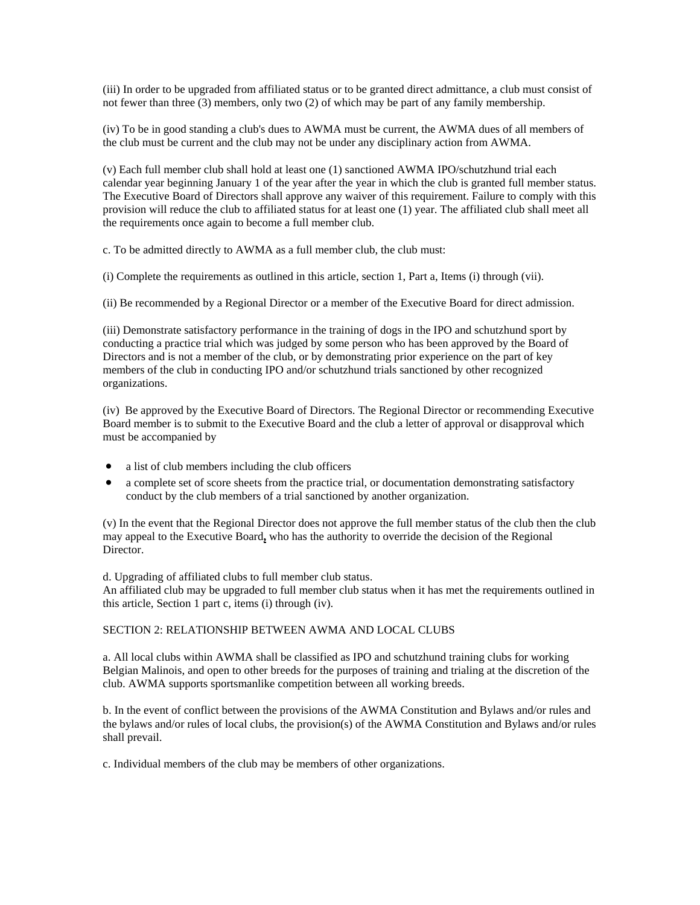(iii) In order to be upgraded from affiliated status or to be granted direct admittance, a club must consist of not fewer than three (3) members, only two (2) of which may be part of any family membership.

(iv) To be in good standing a club's dues to AWMA must be current, the AWMA dues of all members of the club must be current and the club may not be under any disciplinary action from AWMA.

(v) Each full member club shall hold at least one (1) sanctioned AWMA IPO/schutzhund trial each calendar year beginning January 1 of the year after the year in which the club is granted full member status. The Executive Board of Directors shall approve any waiver of this requirement. Failure to comply with this provision will reduce the club to affiliated status for at least one (1) year. The affiliated club shall meet all the requirements once again to become a full member club.

c. To be admitted directly to AWMA as a full member club, the club must:

(i) Complete the requirements as outlined in this article, section 1, Part a, Items (i) through (vii).

(ii) Be recommended by a Regional Director or a member of the Executive Board for direct admission.

(iii) Demonstrate satisfactory performance in the training of dogs in the IPO and schutzhund sport by conducting a practice trial which was judged by some person who has been approved by the Board of Directors and is not a member of the club, or by demonstrating prior experience on the part of key members of the club in conducting IPO and/or schutzhund trials sanctioned by other recognized organizations.

(iv) Be approved by the Executive Board of Directors. The Regional Director or recommending Executive Board member is to submit to the Executive Board and the club a letter of approval or disapproval which must be accompanied by

- a list of club members including the club officers
- a complete set of score sheets from the practice trial, or documentation demonstrating satisfactory conduct by the club members of a trial sanctioned by another organization.

(v) In the event that the Regional Director does not approve the full member status of the club then the club may appeal to the Executive Board**,** who has the authority to override the decision of the Regional Director.

d. Upgrading of affiliated clubs to full member club status.

An affiliated club may be upgraded to full member club status when it has met the requirements outlined in this article, Section 1 part c, items (i) through (iv).

### SECTION 2: RELATIONSHIP BETWEEN AWMA AND LOCAL CLUBS

a. All local clubs within AWMA shall be classified as IPO and schutzhund training clubs for working Belgian Malinois, and open to other breeds for the purposes of training and trialing at the discretion of the club. AWMA supports sportsmanlike competition between all working breeds.

b. In the event of conflict between the provisions of the AWMA Constitution and Bylaws and/or rules and the bylaws and/or rules of local clubs, the provision(s) of the AWMA Constitution and Bylaws and/or rules shall prevail.

c. Individual members of the club may be members of other organizations.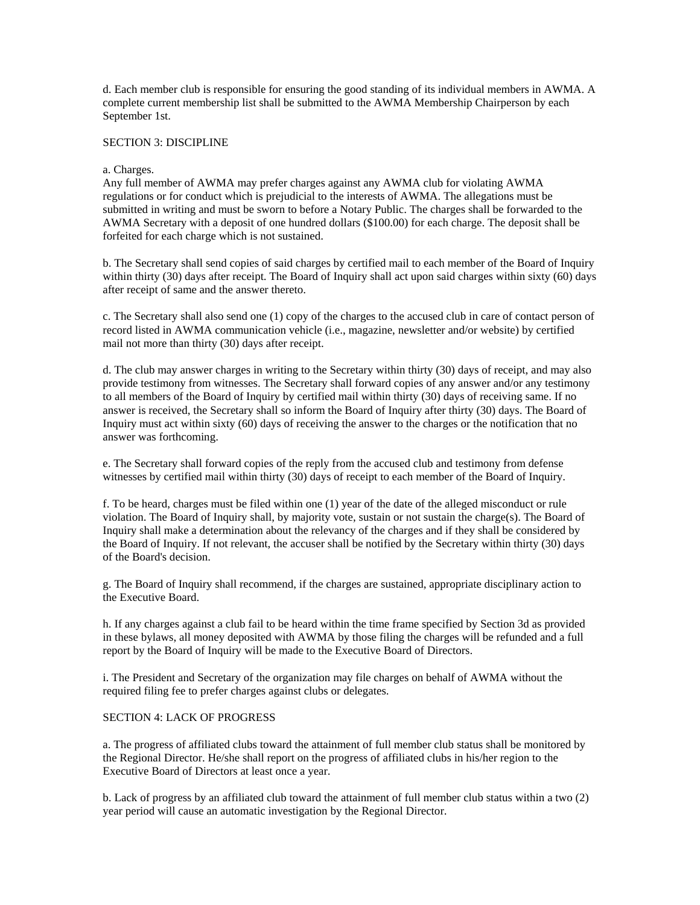d. Each member club is responsible for ensuring the good standing of its individual members in AWMA. A complete current membership list shall be submitted to the AWMA Membership Chairperson by each September 1st.

#### SECTION 3: DISCIPLINE

#### a. Charges.

Any full member of AWMA may prefer charges against any AWMA club for violating AWMA regulations or for conduct which is prejudicial to the interests of AWMA. The allegations must be submitted in writing and must be sworn to before a Notary Public. The charges shall be forwarded to the AWMA Secretary with a deposit of one hundred dollars (\$100.00) for each charge. The deposit shall be forfeited for each charge which is not sustained.

b. The Secretary shall send copies of said charges by certified mail to each member of the Board of Inquiry within thirty (30) days after receipt. The Board of Inquiry shall act upon said charges within sixty (60) days after receipt of same and the answer thereto.

c. The Secretary shall also send one (1) copy of the charges to the accused club in care of contact person of record listed in AWMA communication vehicle (i.e., magazine, newsletter and/or website) by certified mail not more than thirty (30) days after receipt.

d. The club may answer charges in writing to the Secretary within thirty (30) days of receipt, and may also provide testimony from witnesses. The Secretary shall forward copies of any answer and/or any testimony to all members of the Board of Inquiry by certified mail within thirty (30) days of receiving same. If no answer is received, the Secretary shall so inform the Board of Inquiry after thirty (30) days. The Board of Inquiry must act within sixty (60) days of receiving the answer to the charges or the notification that no answer was forthcoming.

e. The Secretary shall forward copies of the reply from the accused club and testimony from defense witnesses by certified mail within thirty (30) days of receipt to each member of the Board of Inquiry.

f. To be heard, charges must be filed within one (1) year of the date of the alleged misconduct or rule violation. The Board of Inquiry shall, by majority vote, sustain or not sustain the charge(s). The Board of Inquiry shall make a determination about the relevancy of the charges and if they shall be considered by the Board of Inquiry. If not relevant, the accuser shall be notified by the Secretary within thirty (30) days of the Board's decision.

g. The Board of Inquiry shall recommend, if the charges are sustained, appropriate disciplinary action to the Executive Board.

h. If any charges against a club fail to be heard within the time frame specified by Section 3d as provided in these bylaws, all money deposited with AWMA by those filing the charges will be refunded and a full report by the Board of Inquiry will be made to the Executive Board of Directors.

i. The President and Secretary of the organization may file charges on behalf of AWMA without the required filing fee to prefer charges against clubs or delegates.

## SECTION 4: LACK OF PROGRESS

a. The progress of affiliated clubs toward the attainment of full member club status shall be monitored by the Regional Director. He/she shall report on the progress of affiliated clubs in his/her region to the Executive Board of Directors at least once a year.

b. Lack of progress by an affiliated club toward the attainment of full member club status within a two (2) year period will cause an automatic investigation by the Regional Director.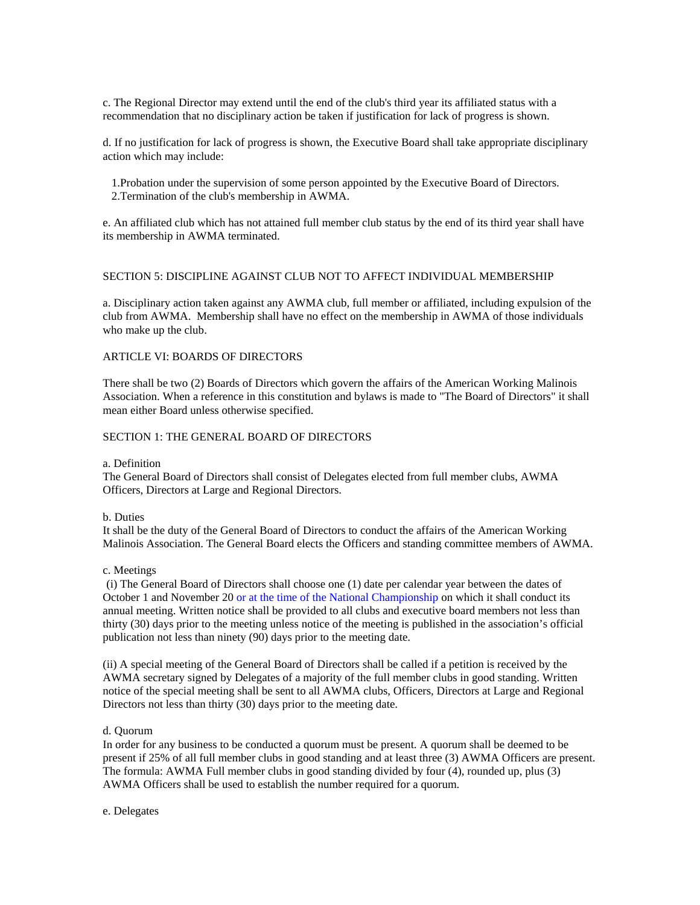c. The Regional Director may extend until the end of the club's third year its affiliated status with a recommendation that no disciplinary action be taken if justification for lack of progress is shown.

d. If no justification for lack of progress is shown, the Executive Board shall take appropriate disciplinary action which may include:

 1.Probation under the supervision of some person appointed by the Executive Board of Directors. 2.Termination of the club's membership in AWMA.

e. An affiliated club which has not attained full member club status by the end of its third year shall have its membership in AWMA terminated.

### SECTION 5: DISCIPLINE AGAINST CLUB NOT TO AFFECT INDIVIDUAL MEMBERSHIP

a. Disciplinary action taken against any AWMA club, full member or affiliated, including expulsion of the club from AWMA. Membership shall have no effect on the membership in AWMA of those individuals who make up the club.

## ARTICLE VI: BOARDS OF DIRECTORS

There shall be two (2) Boards of Directors which govern the affairs of the American Working Malinois Association. When a reference in this constitution and bylaws is made to "The Board of Directors" it shall mean either Board unless otherwise specified.

## SECTION 1: THE GENERAL BOARD OF DIRECTORS

## a. Definition

The General Board of Directors shall consist of Delegates elected from full member clubs, AWMA Officers, Directors at Large and Regional Directors.

# b. Duties

It shall be the duty of the General Board of Directors to conduct the affairs of the American Working Malinois Association. The General Board elects the Officers and standing committee members of AWMA.

### c. Meetings

(i) The General Board of Directors shall choose one (1) date per calendar year between the dates of October 1 and November 20 or at the time of the National Championship on which it shall conduct its annual meeting. Written notice shall be provided to all clubs and executive board members not less than thirty (30) days prior to the meeting unless notice of the meeting is published in the association's official publication not less than ninety (90) days prior to the meeting date.

(ii) A special meeting of the General Board of Directors shall be called if a petition is received by the AWMA secretary signed by Delegates of a majority of the full member clubs in good standing. Written notice of the special meeting shall be sent to all AWMA clubs, Officers, Directors at Large and Regional Directors not less than thirty (30) days prior to the meeting date.

## d. Quorum

In order for any business to be conducted a quorum must be present. A quorum shall be deemed to be present if 25% of all full member clubs in good standing and at least three (3) AWMA Officers are present. The formula: AWMA Full member clubs in good standing divided by four (4), rounded up, plus (3) AWMA Officers shall be used to establish the number required for a quorum.

e. Delegates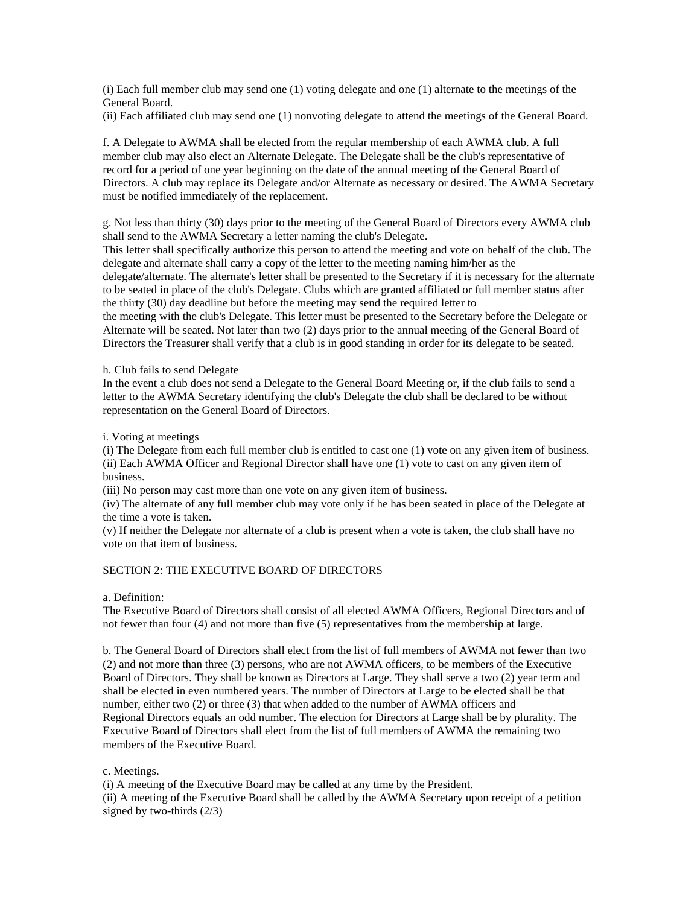(i) Each full member club may send one (1) voting delegate and one (1) alternate to the meetings of the General Board.

(ii) Each affiliated club may send one (1) nonvoting delegate to attend the meetings of the General Board.

f. A Delegate to AWMA shall be elected from the regular membership of each AWMA club. A full member club may also elect an Alternate Delegate. The Delegate shall be the club's representative of record for a period of one year beginning on the date of the annual meeting of the General Board of Directors. A club may replace its Delegate and/or Alternate as necessary or desired. The AWMA Secretary must be notified immediately of the replacement.

g. Not less than thirty (30) days prior to the meeting of the General Board of Directors every AWMA club shall send to the AWMA Secretary a letter naming the club's Delegate.

This letter shall specifically authorize this person to attend the meeting and vote on behalf of the club. The delegate and alternate shall carry a copy of the letter to the meeting naming him/her as the delegate/alternate. The alternate's letter shall be presented to the Secretary if it is necessary for the alternate to be seated in place of the club's Delegate. Clubs which are granted affiliated or full member status after the thirty (30) day deadline but before the meeting may send the required letter to

the meeting with the club's Delegate. This letter must be presented to the Secretary before the Delegate or Alternate will be seated. Not later than two (2) days prior to the annual meeting of the General Board of Directors the Treasurer shall verify that a club is in good standing in order for its delegate to be seated.

### h. Club fails to send Delegate

In the event a club does not send a Delegate to the General Board Meeting or, if the club fails to send a letter to the AWMA Secretary identifying the club's Delegate the club shall be declared to be without representation on the General Board of Directors.

i. Voting at meetings

(i) The Delegate from each full member club is entitled to cast one (1) vote on any given item of business. (ii) Each AWMA Officer and Regional Director shall have one (1) vote to cast on any given item of business.

(iii) No person may cast more than one vote on any given item of business.

(iv) The alternate of any full member club may vote only if he has been seated in place of the Delegate at the time a vote is taken.

(v) If neither the Delegate nor alternate of a club is present when a vote is taken, the club shall have no vote on that item of business.

# SECTION 2: THE EXECUTIVE BOARD OF DIRECTORS

a. Definition:

The Executive Board of Directors shall consist of all elected AWMA Officers, Regional Directors and of not fewer than four (4) and not more than five (5) representatives from the membership at large.

b. The General Board of Directors shall elect from the list of full members of AWMA not fewer than two (2) and not more than three (3) persons, who are not AWMA officers, to be members of the Executive Board of Directors. They shall be known as Directors at Large. They shall serve a two (2) year term and shall be elected in even numbered years. The number of Directors at Large to be elected shall be that number, either two (2) or three (3) that when added to the number of AWMA officers and Regional Directors equals an odd number. The election for Directors at Large shall be by plurality. The Executive Board of Directors shall elect from the list of full members of AWMA the remaining two members of the Executive Board.

c. Meetings.

(i) A meeting of the Executive Board may be called at any time by the President.

(ii) A meeting of the Executive Board shall be called by the AWMA Secretary upon receipt of a petition signed by two-thirds (2/3)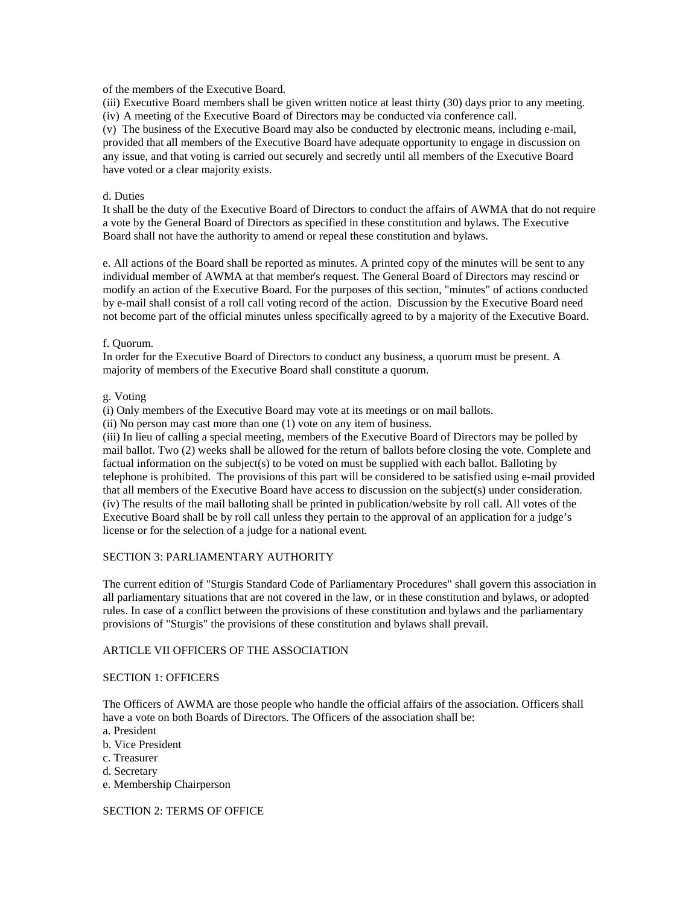of the members of the Executive Board.

(iii) Executive Board members shall be given written notice at least thirty (30) days prior to any meeting. (iv) A meeting of the Executive Board of Directors may be conducted via conference call.

(v) The business of the Executive Board may also be conducted by electronic means, including e-mail, provided that all members of the Executive Board have adequate opportunity to engage in discussion on any issue, and that voting is carried out securely and secretly until all members of the Executive Board have voted or a clear majority exists.

## d. Duties

It shall be the duty of the Executive Board of Directors to conduct the affairs of AWMA that do not require a vote by the General Board of Directors as specified in these constitution and bylaws. The Executive Board shall not have the authority to amend or repeal these constitution and bylaws.

e. All actions of the Board shall be reported as minutes. A printed copy of the minutes will be sent to any individual member of AWMA at that member's request. The General Board of Directors may rescind or modify an action of the Executive Board. For the purposes of this section, "minutes" of actions conducted by e-mail shall consist of a roll call voting record of the action. Discussion by the Executive Board need not become part of the official minutes unless specifically agreed to by a majority of the Executive Board.

## f. Quorum.

In order for the Executive Board of Directors to conduct any business, a quorum must be present. A majority of members of the Executive Board shall constitute a quorum.

## g. Voting

(i) Only members of the Executive Board may vote at its meetings or on mail ballots.

(ii) No person may cast more than one (1) vote on any item of business.

(iii) In lieu of calling a special meeting, members of the Executive Board of Directors may be polled by mail ballot. Two (2) weeks shall be allowed for the return of ballots before closing the vote. Complete and factual information on the subject(s) to be voted on must be supplied with each ballot. Balloting by telephone is prohibited. The provisions of this part will be considered to be satisfied using e-mail provided that all members of the Executive Board have access to discussion on the subject(s) under consideration. (iv) The results of the mail balloting shall be printed in publication/website by roll call. All votes of the Executive Board shall be by roll call unless they pertain to the approval of an application for a judge's license or for the selection of a judge for a national event.

# SECTION 3: PARLIAMENTARY AUTHORITY

The current edition of "Sturgis Standard Code of Parliamentary Procedures" shall govern this association in all parliamentary situations that are not covered in the law, or in these constitution and bylaws, or adopted rules. In case of a conflict between the provisions of these constitution and bylaws and the parliamentary provisions of "Sturgis" the provisions of these constitution and bylaws shall prevail.

# ARTICLE VII OFFICERS OF THE ASSOCIATION

## SECTION 1: OFFICERS

The Officers of AWMA are those people who handle the official affairs of the association. Officers shall have a vote on both Boards of Directors. The Officers of the association shall be:

- a. President
- b. Vice President
- c. Treasurer
- d. Secretary
- e. Membership Chairperson

## SECTION 2: TERMS OF OFFICE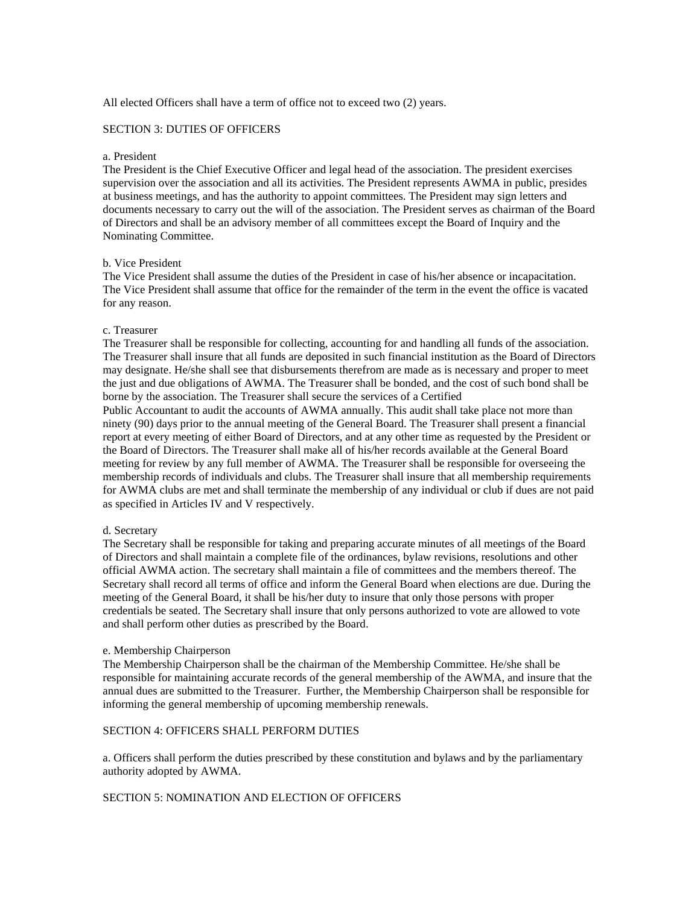All elected Officers shall have a term of office not to exceed two (2) years.

## SECTION 3: DUTIES OF OFFICERS

#### a. President

The President is the Chief Executive Officer and legal head of the association. The president exercises supervision over the association and all its activities. The President represents AWMA in public, presides at business meetings, and has the authority to appoint committees. The President may sign letters and documents necessary to carry out the will of the association. The President serves as chairman of the Board of Directors and shall be an advisory member of all committees except the Board of Inquiry and the Nominating Committee.

### b. Vice President

The Vice President shall assume the duties of the President in case of his/her absence or incapacitation. The Vice President shall assume that office for the remainder of the term in the event the office is vacated for any reason.

#### c. Treasurer

The Treasurer shall be responsible for collecting, accounting for and handling all funds of the association. The Treasurer shall insure that all funds are deposited in such financial institution as the Board of Directors may designate. He/she shall see that disbursements therefrom are made as is necessary and proper to meet the just and due obligations of AWMA. The Treasurer shall be bonded, and the cost of such bond shall be borne by the association. The Treasurer shall secure the services of a Certified Public Accountant to audit the accounts of AWMA annually. This audit shall take place not more than ninety (90) days prior to the annual meeting of the General Board. The Treasurer shall present a financial report at every meeting of either Board of Directors, and at any other time as requested by the President or the Board of Directors. The Treasurer shall make all of his/her records available at the General Board meeting for review by any full member of AWMA. The Treasurer shall be responsible for overseeing the

membership records of individuals and clubs. The Treasurer shall insure that all membership requirements for AWMA clubs are met and shall terminate the membership of any individual or club if dues are not paid as specified in Articles IV and V respectively.

### d. Secretary

The Secretary shall be responsible for taking and preparing accurate minutes of all meetings of the Board of Directors and shall maintain a complete file of the ordinances, bylaw revisions, resolutions and other official AWMA action. The secretary shall maintain a file of committees and the members thereof. The Secretary shall record all terms of office and inform the General Board when elections are due. During the meeting of the General Board, it shall be his/her duty to insure that only those persons with proper credentials be seated. The Secretary shall insure that only persons authorized to vote are allowed to vote and shall perform other duties as prescribed by the Board.

### e. Membership Chairperson

The Membership Chairperson shall be the chairman of the Membership Committee. He/she shall be responsible for maintaining accurate records of the general membership of the AWMA, and insure that the annual dues are submitted to the Treasurer. Further, the Membership Chairperson shall be responsible for informing the general membership of upcoming membership renewals.

# SECTION 4: OFFICERS SHALL PERFORM DUTIES

a. Officers shall perform the duties prescribed by these constitution and bylaws and by the parliamentary authority adopted by AWMA.

### SECTION 5: NOMINATION AND ELECTION OF OFFICERS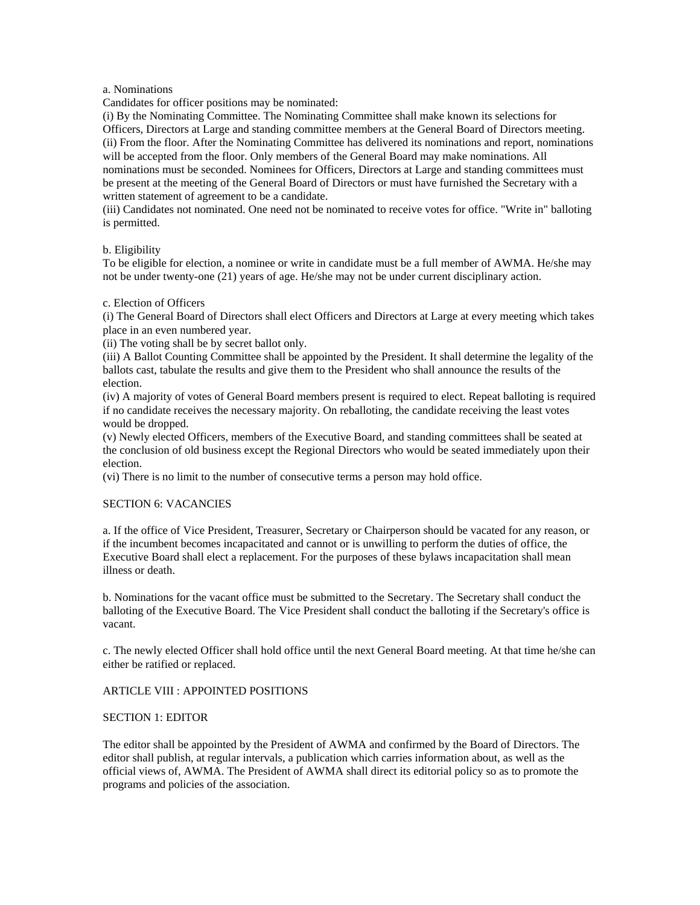#### a. Nominations

Candidates for officer positions may be nominated:

(i) By the Nominating Committee. The Nominating Committee shall make known its selections for Officers, Directors at Large and standing committee members at the General Board of Directors meeting. (ii) From the floor. After the Nominating Committee has delivered its nominations and report, nominations will be accepted from the floor. Only members of the General Board may make nominations. All nominations must be seconded. Nominees for Officers, Directors at Large and standing committees must be present at the meeting of the General Board of Directors or must have furnished the Secretary with a written statement of agreement to be a candidate.

(iii) Candidates not nominated. One need not be nominated to receive votes for office. "Write in" balloting is permitted.

#### b. Eligibility

To be eligible for election, a nominee or write in candidate must be a full member of AWMA. He/she may not be under twenty-one (21) years of age. He/she may not be under current disciplinary action.

## c. Election of Officers

(i) The General Board of Directors shall elect Officers and Directors at Large at every meeting which takes place in an even numbered year.

(ii) The voting shall be by secret ballot only.

(iii) A Ballot Counting Committee shall be appointed by the President. It shall determine the legality of the ballots cast, tabulate the results and give them to the President who shall announce the results of the election.

(iv) A majority of votes of General Board members present is required to elect. Repeat balloting is required if no candidate receives the necessary majority. On reballoting, the candidate receiving the least votes would be dropped.

(v) Newly elected Officers, members of the Executive Board, and standing committees shall be seated at the conclusion of old business except the Regional Directors who would be seated immediately upon their election.

(vi) There is no limit to the number of consecutive terms a person may hold office.

### SECTION 6: VACANCIES

a. If the office of Vice President, Treasurer, Secretary or Chairperson should be vacated for any reason, or if the incumbent becomes incapacitated and cannot or is unwilling to perform the duties of office, the Executive Board shall elect a replacement. For the purposes of these bylaws incapacitation shall mean illness or death.

b. Nominations for the vacant office must be submitted to the Secretary. The Secretary shall conduct the balloting of the Executive Board. The Vice President shall conduct the balloting if the Secretary's office is vacant.

c. The newly elected Officer shall hold office until the next General Board meeting. At that time he/she can either be ratified or replaced.

## ARTICLE VIII : APPOINTED POSITIONS

### SECTION 1: EDITOR

The editor shall be appointed by the President of AWMA and confirmed by the Board of Directors. The editor shall publish, at regular intervals, a publication which carries information about, as well as the official views of, AWMA. The President of AWMA shall direct its editorial policy so as to promote the programs and policies of the association.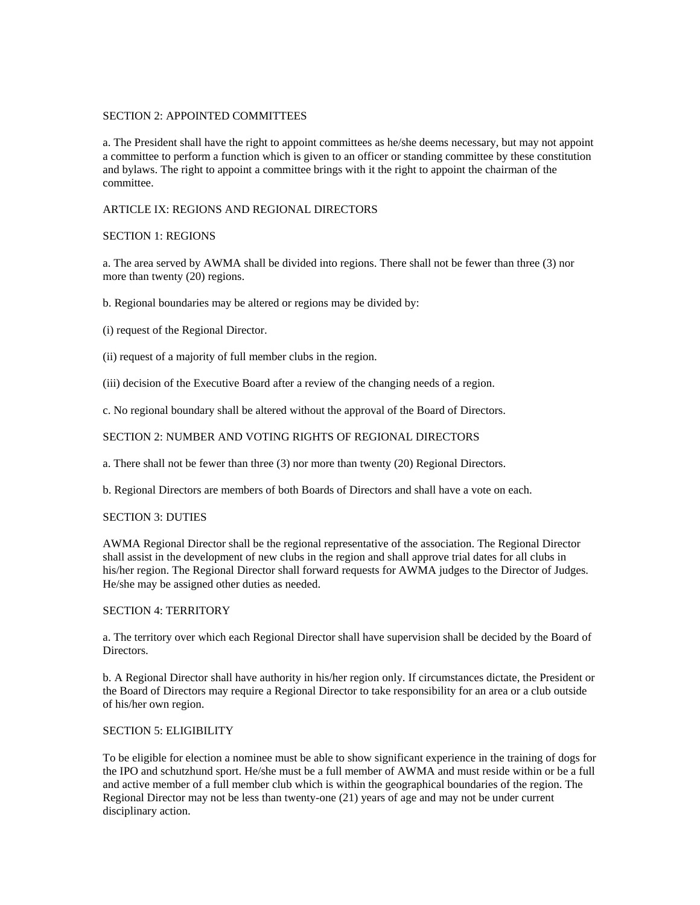## SECTION 2: APPOINTED COMMITTEES

a. The President shall have the right to appoint committees as he/she deems necessary, but may not appoint a committee to perform a function which is given to an officer or standing committee by these constitution and bylaws. The right to appoint a committee brings with it the right to appoint the chairman of the committee.

## ARTICLE IX: REGIONS AND REGIONAL DIRECTORS

## SECTION 1: REGIONS

a. The area served by AWMA shall be divided into regions. There shall not be fewer than three (3) nor more than twenty (20) regions.

b. Regional boundaries may be altered or regions may be divided by:

(i) request of the Regional Director.

(ii) request of a majority of full member clubs in the region.

(iii) decision of the Executive Board after a review of the changing needs of a region.

c. No regional boundary shall be altered without the approval of the Board of Directors.

# SECTION 2: NUMBER AND VOTING RIGHTS OF REGIONAL DIRECTORS

a. There shall not be fewer than three (3) nor more than twenty (20) Regional Directors.

b. Regional Directors are members of both Boards of Directors and shall have a vote on each.

### SECTION 3: DUTIES

AWMA Regional Director shall be the regional representative of the association. The Regional Director shall assist in the development of new clubs in the region and shall approve trial dates for all clubs in his/her region. The Regional Director shall forward requests for AWMA judges to the Director of Judges. He/she may be assigned other duties as needed.

## SECTION 4: TERRITORY

a. The territory over which each Regional Director shall have supervision shall be decided by the Board of Directors.

b. A Regional Director shall have authority in his/her region only. If circumstances dictate, the President or the Board of Directors may require a Regional Director to take responsibility for an area or a club outside of his/her own region.

### SECTION 5: ELIGIBILITY

To be eligible for election a nominee must be able to show significant experience in the training of dogs for the IPO and schutzhund sport. He/she must be a full member of AWMA and must reside within or be a full and active member of a full member club which is within the geographical boundaries of the region. The Regional Director may not be less than twenty-one (21) years of age and may not be under current disciplinary action.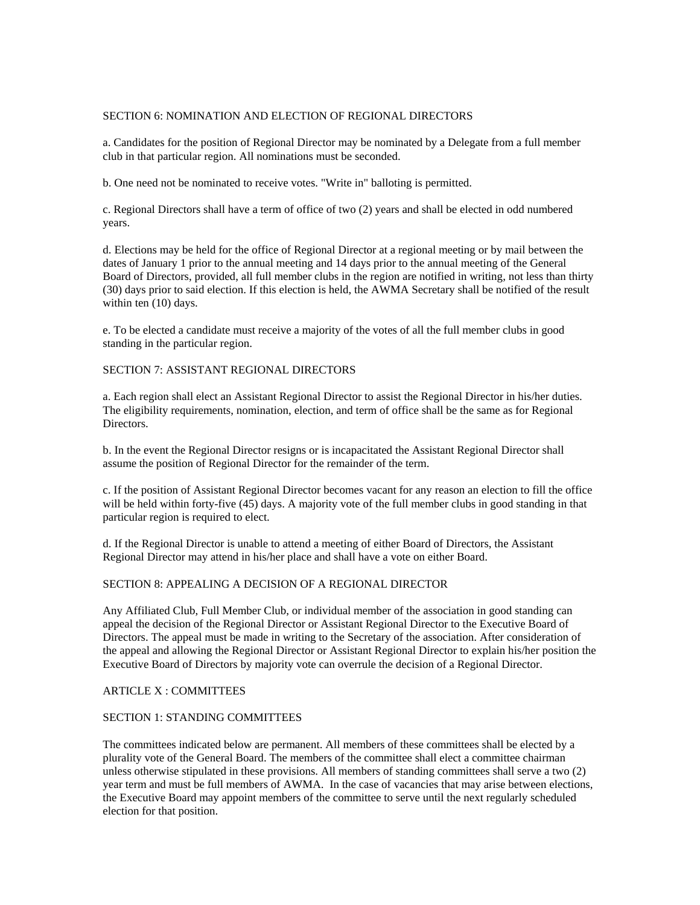## SECTION 6: NOMINATION AND ELECTION OF REGIONAL DIRECTORS

a. Candidates for the position of Regional Director may be nominated by a Delegate from a full member club in that particular region. All nominations must be seconded.

b. One need not be nominated to receive votes. "Write in" balloting is permitted.

c. Regional Directors shall have a term of office of two (2) years and shall be elected in odd numbered years.

d. Elections may be held for the office of Regional Director at a regional meeting or by mail between the dates of January 1 prior to the annual meeting and 14 days prior to the annual meeting of the General Board of Directors, provided, all full member clubs in the region are notified in writing, not less than thirty (30) days prior to said election. If this election is held, the AWMA Secretary shall be notified of the result within ten (10) days.

e. To be elected a candidate must receive a majority of the votes of all the full member clubs in good standing in the particular region.

## SECTION 7: ASSISTANT REGIONAL DIRECTORS

a. Each region shall elect an Assistant Regional Director to assist the Regional Director in his/her duties. The eligibility requirements, nomination, election, and term of office shall be the same as for Regional Directors.

b. In the event the Regional Director resigns or is incapacitated the Assistant Regional Director shall assume the position of Regional Director for the remainder of the term.

c. If the position of Assistant Regional Director becomes vacant for any reason an election to fill the office will be held within forty-five (45) days. A majority vote of the full member clubs in good standing in that particular region is required to elect.

d. If the Regional Director is unable to attend a meeting of either Board of Directors, the Assistant Regional Director may attend in his/her place and shall have a vote on either Board.

### SECTION 8: APPEALING A DECISION OF A REGIONAL DIRECTOR

Any Affiliated Club, Full Member Club, or individual member of the association in good standing can appeal the decision of the Regional Director or Assistant Regional Director to the Executive Board of Directors. The appeal must be made in writing to the Secretary of the association. After consideration of the appeal and allowing the Regional Director or Assistant Regional Director to explain his/her position the Executive Board of Directors by majority vote can overrule the decision of a Regional Director.

### ARTICLE X : COMMITTEES

### SECTION 1: STANDING COMMITTEES

The committees indicated below are permanent. All members of these committees shall be elected by a plurality vote of the General Board. The members of the committee shall elect a committee chairman unless otherwise stipulated in these provisions. All members of standing committees shall serve a two (2) year term and must be full members of AWMA. In the case of vacancies that may arise between elections, the Executive Board may appoint members of the committee to serve until the next regularly scheduled election for that position.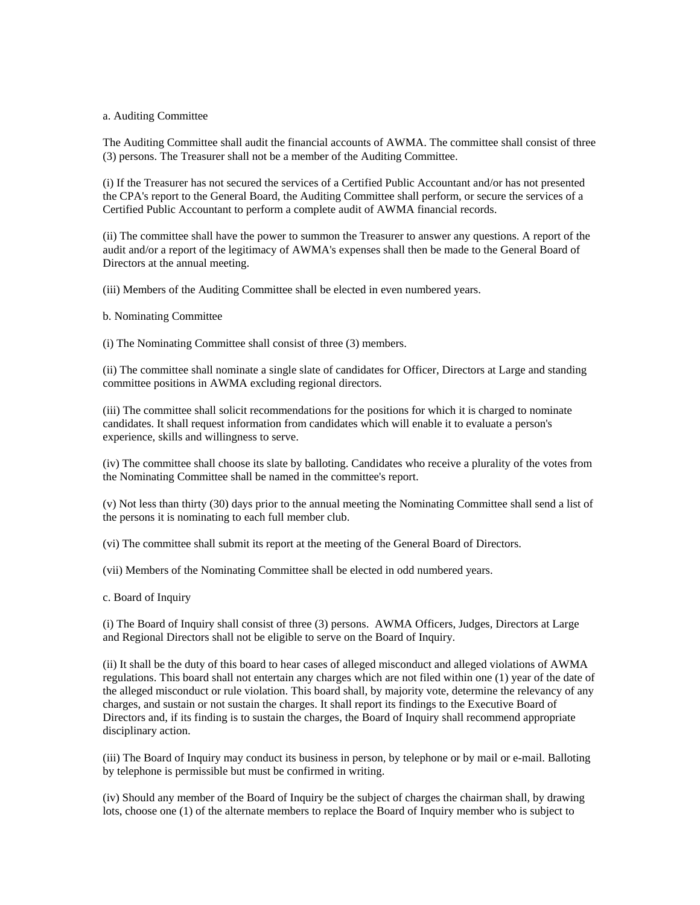#### a. Auditing Committee

The Auditing Committee shall audit the financial accounts of AWMA. The committee shall consist of three (3) persons. The Treasurer shall not be a member of the Auditing Committee.

(i) If the Treasurer has not secured the services of a Certified Public Accountant and/or has not presented the CPA's report to the General Board, the Auditing Committee shall perform, or secure the services of a Certified Public Accountant to perform a complete audit of AWMA financial records.

(ii) The committee shall have the power to summon the Treasurer to answer any questions. A report of the audit and/or a report of the legitimacy of AWMA's expenses shall then be made to the General Board of Directors at the annual meeting.

(iii) Members of the Auditing Committee shall be elected in even numbered years.

b. Nominating Committee

(i) The Nominating Committee shall consist of three (3) members.

(ii) The committee shall nominate a single slate of candidates for Officer, Directors at Large and standing committee positions in AWMA excluding regional directors.

(iii) The committee shall solicit recommendations for the positions for which it is charged to nominate candidates. It shall request information from candidates which will enable it to evaluate a person's experience, skills and willingness to serve.

(iv) The committee shall choose its slate by balloting. Candidates who receive a plurality of the votes from the Nominating Committee shall be named in the committee's report.

(v) Not less than thirty (30) days prior to the annual meeting the Nominating Committee shall send a list of the persons it is nominating to each full member club.

(vi) The committee shall submit its report at the meeting of the General Board of Directors.

(vii) Members of the Nominating Committee shall be elected in odd numbered years.

c. Board of Inquiry

(i) The Board of Inquiry shall consist of three (3) persons. AWMA Officers, Judges, Directors at Large and Regional Directors shall not be eligible to serve on the Board of Inquiry.

(ii) It shall be the duty of this board to hear cases of alleged misconduct and alleged violations of AWMA regulations. This board shall not entertain any charges which are not filed within one (1) year of the date of the alleged misconduct or rule violation. This board shall, by majority vote, determine the relevancy of any charges, and sustain or not sustain the charges. It shall report its findings to the Executive Board of Directors and, if its finding is to sustain the charges, the Board of Inquiry shall recommend appropriate disciplinary action.

(iii) The Board of Inquiry may conduct its business in person, by telephone or by mail or e-mail. Balloting by telephone is permissible but must be confirmed in writing.

(iv) Should any member of the Board of Inquiry be the subject of charges the chairman shall, by drawing lots, choose one (1) of the alternate members to replace the Board of Inquiry member who is subject to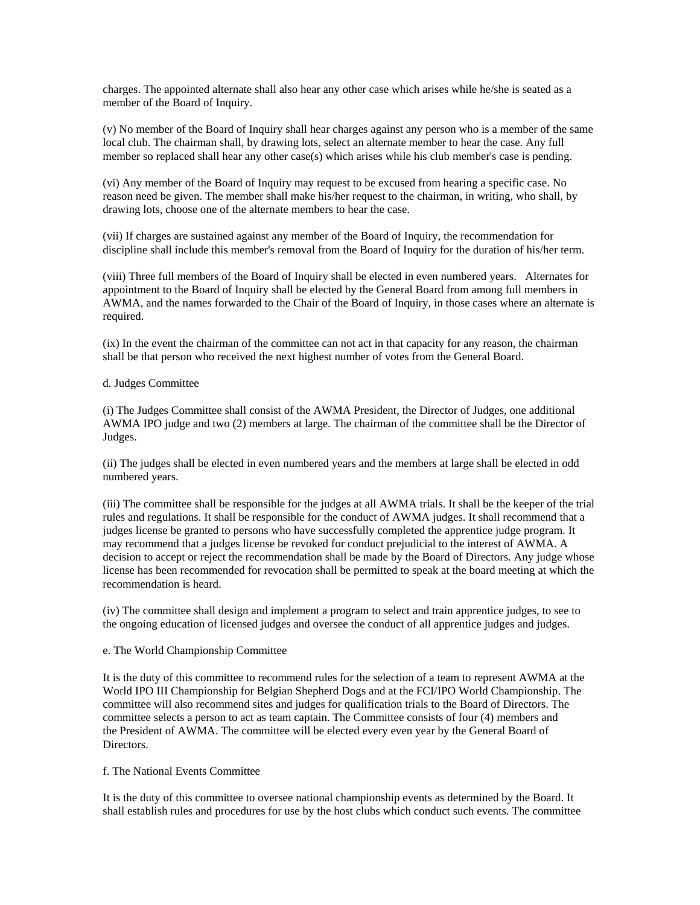charges. The appointed alternate shall also hear any other case which arises while he/she is seated as a member of the Board of Inquiry.

(v) No member of the Board of Inquiry shall hear charges against any person who is a member of the same local club. The chairman shall, by drawing lots, select an alternate member to hear the case. Any full member so replaced shall hear any other case(s) which arises while his club member's case is pending.

(vi) Any member of the Board of Inquiry may request to be excused from hearing a specific case. No reason need be given. The member shall make his/her request to the chairman, in writing, who shall, by drawing lots, choose one of the alternate members to hear the case.

(vii) If charges are sustained against any member of the Board of Inquiry, the recommendation for discipline shall include this member's removal from the Board of Inquiry for the duration of his/her term.

(viii) Three full members of the Board of Inquiry shall be elected in even numbered years. Alternates for appointment to the Board of Inquiry shall be elected by the General Board from among full members in AWMA, and the names forwarded to the Chair of the Board of Inquiry, in those cases where an alternate is required.

(ix) In the event the chairman of the committee can not act in that capacity for any reason, the chairman shall be that person who received the next highest number of votes from the General Board.

## d. Judges Committee

(i) The Judges Committee shall consist of the AWMA President, the Director of Judges, one additional AWMA IPO judge and two (2) members at large. The chairman of the committee shall be the Director of Judges.

(ii) The judges shall be elected in even numbered years and the members at large shall be elected in odd numbered years.

(iii) The committee shall be responsible for the judges at all AWMA trials. It shall be the keeper of the trial rules and regulations. It shall be responsible for the conduct of AWMA judges. It shall recommend that a judges license be granted to persons who have successfully completed the apprentice judge program. It may recommend that a judges license be revoked for conduct prejudicial to the interest of AWMA. A decision to accept or reject the recommendation shall be made by the Board of Directors. Any judge whose license has been recommended for revocation shall be permitted to speak at the board meeting at which the recommendation is heard.

(iv) The committee shall design and implement a program to select and train apprentice judges, to see to the ongoing education of licensed judges and oversee the conduct of all apprentice judges and judges.

### e. The World Championship Committee

It is the duty of this committee to recommend rules for the selection of a team to represent AWMA at the World IPO III Championship for Belgian Shepherd Dogs and at the FCI/IPO World Championship. The committee will also recommend sites and judges for qualification trials to the Board of Directors. The committee selects a person to act as team captain. The Committee consists of four (4) members and the President of AWMA. The committee will be elected every even year by the General Board of Directors.

#### f. The National Events Committee

It is the duty of this committee to oversee national championship events as determined by the Board. It shall establish rules and procedures for use by the host clubs which conduct such events. The committee